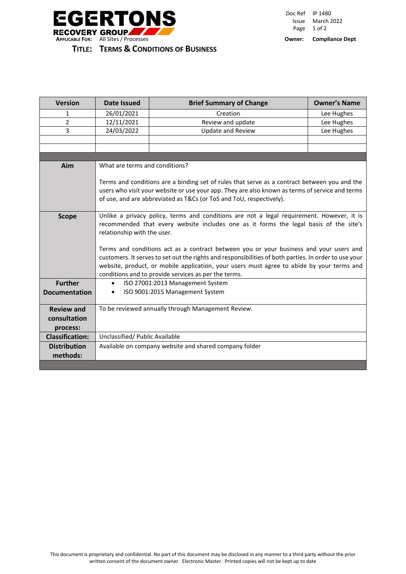

| <b>Version</b>         | Date Issued                                                                                                                                                                                                                                                                                                                                                                                                                                                                                                                                                               | <b>Brief Summary of Change</b> | <b>Owner's Name</b> |
|------------------------|---------------------------------------------------------------------------------------------------------------------------------------------------------------------------------------------------------------------------------------------------------------------------------------------------------------------------------------------------------------------------------------------------------------------------------------------------------------------------------------------------------------------------------------------------------------------------|--------------------------------|---------------------|
| 1                      | 26/01/2021                                                                                                                                                                                                                                                                                                                                                                                                                                                                                                                                                                | Creation                       | Lee Hughes          |
| $\overline{2}$         | 12/11/2021                                                                                                                                                                                                                                                                                                                                                                                                                                                                                                                                                                | Review and update              | Lee Hughes          |
| 3                      | 24/03/2022                                                                                                                                                                                                                                                                                                                                                                                                                                                                                                                                                                | <b>Update and Review</b>       | Lee Hughes          |
|                        |                                                                                                                                                                                                                                                                                                                                                                                                                                                                                                                                                                           |                                |                     |
|                        |                                                                                                                                                                                                                                                                                                                                                                                                                                                                                                                                                                           |                                |                     |
|                        |                                                                                                                                                                                                                                                                                                                                                                                                                                                                                                                                                                           |                                |                     |
| Aim                    | What are terms and conditions?                                                                                                                                                                                                                                                                                                                                                                                                                                                                                                                                            |                                |                     |
|                        | Terms and conditions are a binding set of rules that serve as a contract between you and the<br>users who visit your website or use your app. They are also known as terms of service and terms<br>of use, and are abbreviated as T&Cs (or ToS and ToU, respectively).                                                                                                                                                                                                                                                                                                    |                                |                     |
| <b>Scope</b>           | Unlike a privacy policy, terms and conditions are not a legal requirement. However, it is<br>recommended that every website includes one as it forms the legal basis of the site's<br>relationship with the user.<br>Terms and conditions act as a contract between you or your business and your users and<br>customers. It serves to set out the rights and responsibilities of both parties. In order to use your<br>website, product, or mobile application, your users must agree to abide by your terms and<br>conditions and to provide services as per the terms. |                                |                     |
| <b>Further</b>         | ISO 27001:2013 Management System<br>$\bullet$                                                                                                                                                                                                                                                                                                                                                                                                                                                                                                                             |                                |                     |
| <b>Documentation</b>   | ISO 9001:2015 Management System<br>$\bullet$                                                                                                                                                                                                                                                                                                                                                                                                                                                                                                                              |                                |                     |
| <b>Review and</b>      | To be reviewed annually through Management Review.                                                                                                                                                                                                                                                                                                                                                                                                                                                                                                                        |                                |                     |
| consultation           |                                                                                                                                                                                                                                                                                                                                                                                                                                                                                                                                                                           |                                |                     |
| process:               |                                                                                                                                                                                                                                                                                                                                                                                                                                                                                                                                                                           |                                |                     |
| <b>Classification:</b> | Unclassified/ Public Available                                                                                                                                                                                                                                                                                                                                                                                                                                                                                                                                            |                                |                     |
| <b>Distribution</b>    | Available on company website and shared company folder                                                                                                                                                                                                                                                                                                                                                                                                                                                                                                                    |                                |                     |
| methods:               |                                                                                                                                                                                                                                                                                                                                                                                                                                                                                                                                                                           |                                |                     |
|                        |                                                                                                                                                                                                                                                                                                                                                                                                                                                                                                                                                                           |                                |                     |